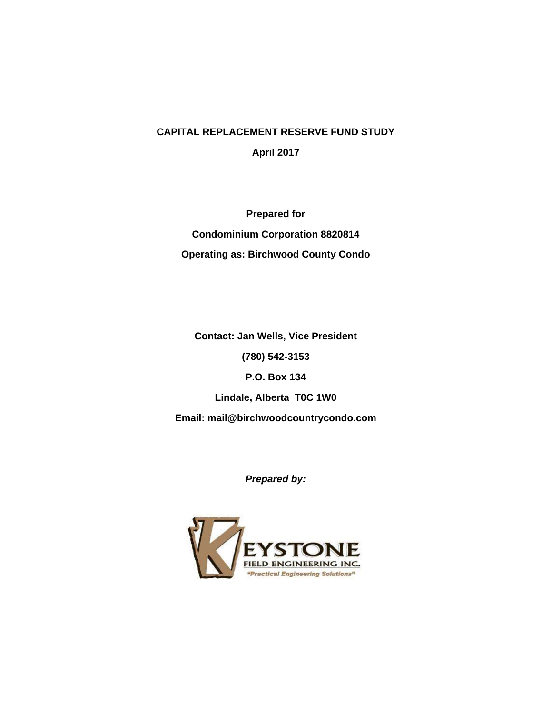#### **CAPITAL REPLACEMENT RESERVE FUND STUDY**

**April 2017**

**Prepared for Condominium Corporation 8820814 Operating as: Birchwood County Condo**

**Contact: Jan Wells, Vice President**

**(780) 542-3153**

**P.O. Box 134**

**Lindale, Alberta T0C 1W0**

**Email: mail@birchwoodcountrycondo.com**

*Prepared by:*

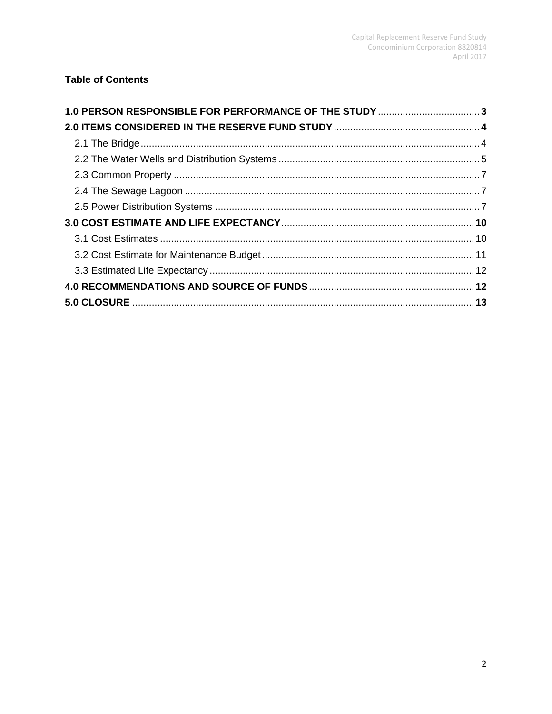# **Table of Contents**

| 1.0 PERSON RESPONSIBLE FOR PERFORMANCE OF THE STUDY 3 |  |
|-------------------------------------------------------|--|
|                                                       |  |
|                                                       |  |
|                                                       |  |
|                                                       |  |
|                                                       |  |
|                                                       |  |
|                                                       |  |
|                                                       |  |
|                                                       |  |
|                                                       |  |
|                                                       |  |
|                                                       |  |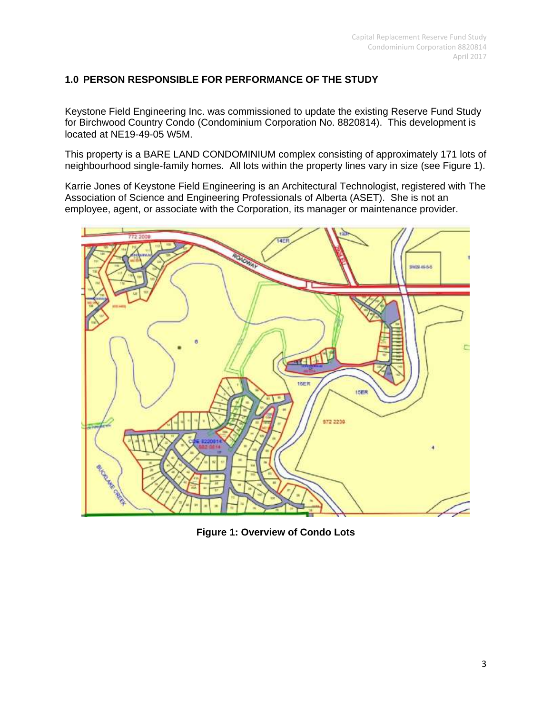# **1.0 PERSON RESPONSIBLE FOR PERFORMANCE OF THE STUDY**

Keystone Field Engineering Inc. was commissioned to update the existing Reserve Fund Study for Birchwood Country Condo (Condominium Corporation No. 8820814). This development is located at NE19-49-05 W5M.

This property is a BARE LAND CONDOMINIUM complex consisting of approximately 171 lots of neighbourhood single-family homes. All lots within the property lines vary in size (see Figure 1).

Karrie Jones of Keystone Field Engineering is an Architectural Technologist, registered with The Association of Science and Engineering Professionals of Alberta (ASET). She is not an employee, agent, or associate with the Corporation, its manager or maintenance provider.



**Figure 1: Overview of Condo Lots**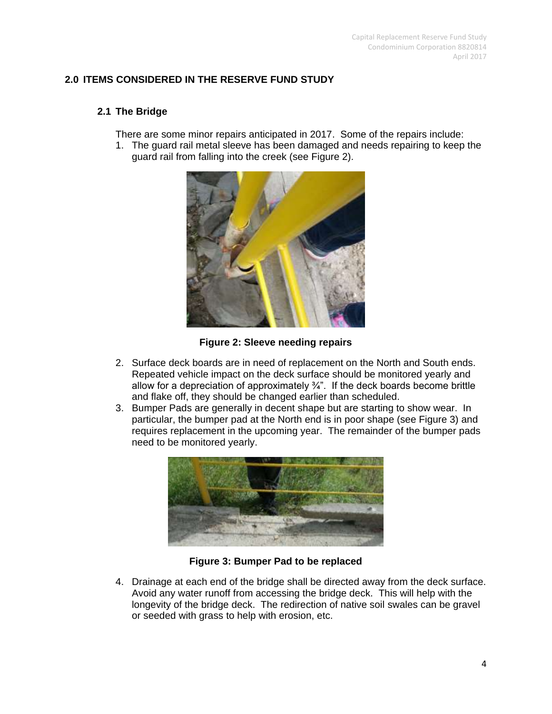# **2.0 ITEMS CONSIDERED IN THE RESERVE FUND STUDY**

## **2.1 The Bridge**

There are some minor repairs anticipated in 2017. Some of the repairs include:

1. The guard rail metal sleeve has been damaged and needs repairing to keep the guard rail from falling into the creek (see Figure 2).



**Figure 2: Sleeve needing repairs**

- 2. Surface deck boards are in need of replacement on the North and South ends. Repeated vehicle impact on the deck surface should be monitored yearly and allow for a depreciation of approximately  $\frac{3}{4}$ . If the deck boards become brittle and flake off, they should be changed earlier than scheduled.
- 3. Bumper Pads are generally in decent shape but are starting to show wear. In particular, the bumper pad at the North end is in poor shape (see Figure 3) and requires replacement in the upcoming year. The remainder of the bumper pads need to be monitored yearly.



**Figure 3: Bumper Pad to be replaced**

4. Drainage at each end of the bridge shall be directed away from the deck surface. Avoid any water runoff from accessing the bridge deck. This will help with the longevity of the bridge deck. The redirection of native soil swales can be gravel or seeded with grass to help with erosion, etc.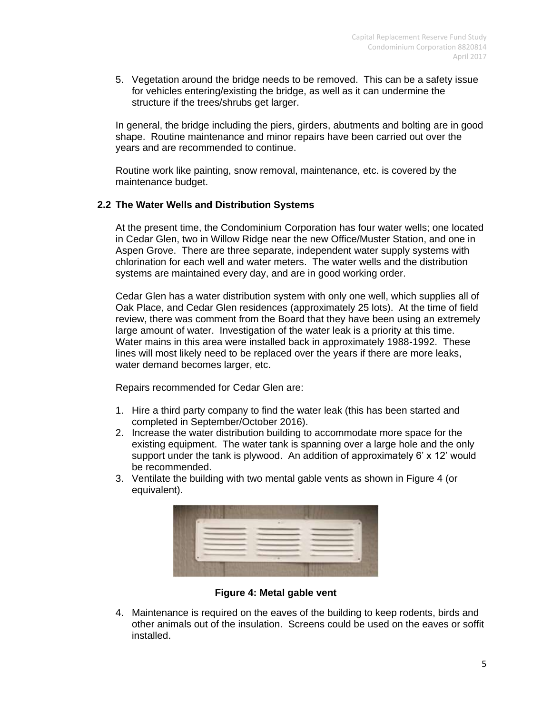5. Vegetation around the bridge needs to be removed. This can be a safety issue for vehicles entering/existing the bridge, as well as it can undermine the structure if the trees/shrubs get larger.

In general, the bridge including the piers, girders, abutments and bolting are in good shape. Routine maintenance and minor repairs have been carried out over the years and are recommended to continue.

Routine work like painting, snow removal, maintenance, etc. is covered by the maintenance budget.

#### **2.2 The Water Wells and Distribution Systems**

At the present time, the Condominium Corporation has four water wells; one located in Cedar Glen, two in Willow Ridge near the new Office/Muster Station, and one in Aspen Grove. There are three separate, independent water supply systems with chlorination for each well and water meters. The water wells and the distribution systems are maintained every day, and are in good working order.

Cedar Glen has a water distribution system with only one well, which supplies all of Oak Place, and Cedar Glen residences (approximately 25 lots). At the time of field review, there was comment from the Board that they have been using an extremely large amount of water. Investigation of the water leak is a priority at this time. Water mains in this area were installed back in approximately 1988-1992. These lines will most likely need to be replaced over the years if there are more leaks, water demand becomes larger, etc.

Repairs recommended for Cedar Glen are:

- 1. Hire a third party company to find the water leak (this has been started and completed in September/October 2016).
- 2. Increase the water distribution building to accommodate more space for the existing equipment. The water tank is spanning over a large hole and the only support under the tank is plywood. An addition of approximately 6' x 12' would be recommended.
- 3. Ventilate the building with two mental gable vents as shown in Figure 4 (or equivalent).



**Figure 4: Metal gable vent**

4. Maintenance is required on the eaves of the building to keep rodents, birds and other animals out of the insulation. Screens could be used on the eaves or soffit installed.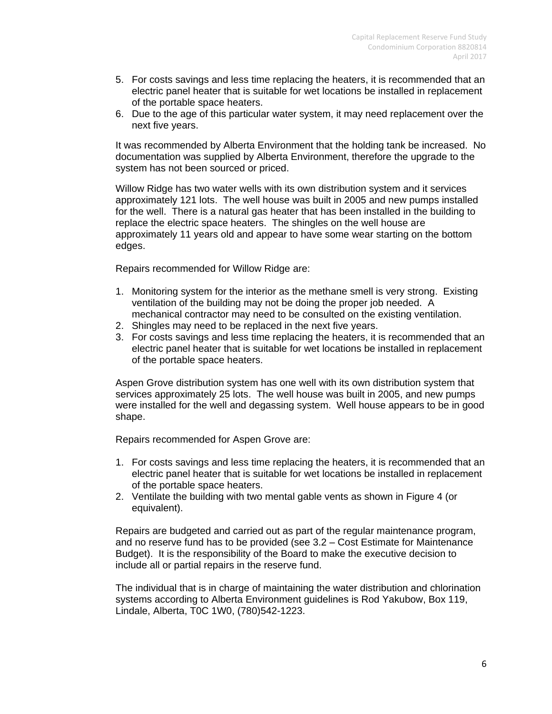- 5. For costs savings and less time replacing the heaters, it is recommended that an electric panel heater that is suitable for wet locations be installed in replacement of the portable space heaters.
- 6. Due to the age of this particular water system, it may need replacement over the next five years.

It was recommended by Alberta Environment that the holding tank be increased. No documentation was supplied by Alberta Environment, therefore the upgrade to the system has not been sourced or priced.

Willow Ridge has two water wells with its own distribution system and it services approximately 121 lots. The well house was built in 2005 and new pumps installed for the well. There is a natural gas heater that has been installed in the building to replace the electric space heaters. The shingles on the well house are approximately 11 years old and appear to have some wear starting on the bottom edges.

Repairs recommended for Willow Ridge are:

- 1. Monitoring system for the interior as the methane smell is very strong. Existing ventilation of the building may not be doing the proper job needed. A mechanical contractor may need to be consulted on the existing ventilation.
- 2. Shingles may need to be replaced in the next five years.
- 3. For costs savings and less time replacing the heaters, it is recommended that an electric panel heater that is suitable for wet locations be installed in replacement of the portable space heaters.

Aspen Grove distribution system has one well with its own distribution system that services approximately 25 lots. The well house was built in 2005, and new pumps were installed for the well and degassing system. Well house appears to be in good shape.

Repairs recommended for Aspen Grove are:

- 1. For costs savings and less time replacing the heaters, it is recommended that an electric panel heater that is suitable for wet locations be installed in replacement of the portable space heaters.
- 2. Ventilate the building with two mental gable vents as shown in Figure 4 (or equivalent).

Repairs are budgeted and carried out as part of the regular maintenance program, and no reserve fund has to be provided (see 3.2 – Cost Estimate for Maintenance Budget). It is the responsibility of the Board to make the executive decision to include all or partial repairs in the reserve fund.

The individual that is in charge of maintaining the water distribution and chlorination systems according to Alberta Environment guidelines is Rod Yakubow, Box 119, Lindale, Alberta, T0C 1W0, (780)542-1223.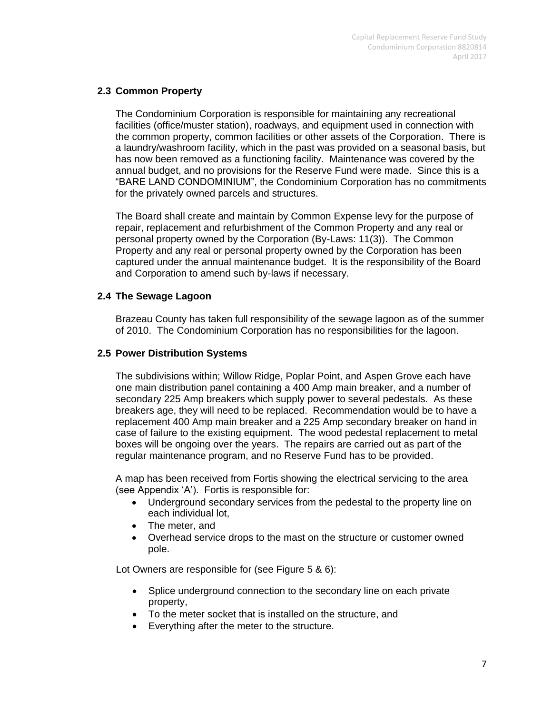### **2.3 Common Property**

The Condominium Corporation is responsible for maintaining any recreational facilities (office/muster station), roadways, and equipment used in connection with the common property, common facilities or other assets of the Corporation. There is a laundry/washroom facility, which in the past was provided on a seasonal basis, but has now been removed as a functioning facility. Maintenance was covered by the annual budget, and no provisions for the Reserve Fund were made. Since this is a "BARE LAND CONDOMINIUM", the Condominium Corporation has no commitments for the privately owned parcels and structures.

The Board shall create and maintain by Common Expense levy for the purpose of repair, replacement and refurbishment of the Common Property and any real or personal property owned by the Corporation (By-Laws: 11(3)). The Common Property and any real or personal property owned by the Corporation has been captured under the annual maintenance budget. It is the responsibility of the Board and Corporation to amend such by-laws if necessary.

#### **2.4 The Sewage Lagoon**

Brazeau County has taken full responsibility of the sewage lagoon as of the summer of 2010. The Condominium Corporation has no responsibilities for the lagoon.

### **2.5 Power Distribution Systems**

The subdivisions within; Willow Ridge, Poplar Point, and Aspen Grove each have one main distribution panel containing a 400 Amp main breaker, and a number of secondary 225 Amp breakers which supply power to several pedestals. As these breakers age, they will need to be replaced. Recommendation would be to have a replacement 400 Amp main breaker and a 225 Amp secondary breaker on hand in case of failure to the existing equipment. The wood pedestal replacement to metal boxes will be ongoing over the years. The repairs are carried out as part of the regular maintenance program, and no Reserve Fund has to be provided.

A map has been received from Fortis showing the electrical servicing to the area (see Appendix 'A'). Fortis is responsible for:

- Underground secondary services from the pedestal to the property line on each individual lot,
- The meter, and
- Overhead service drops to the mast on the structure or customer owned pole.

Lot Owners are responsible for (see Figure 5 & 6):

- Splice underground connection to the secondary line on each private property,
- To the meter socket that is installed on the structure, and
- Everything after the meter to the structure.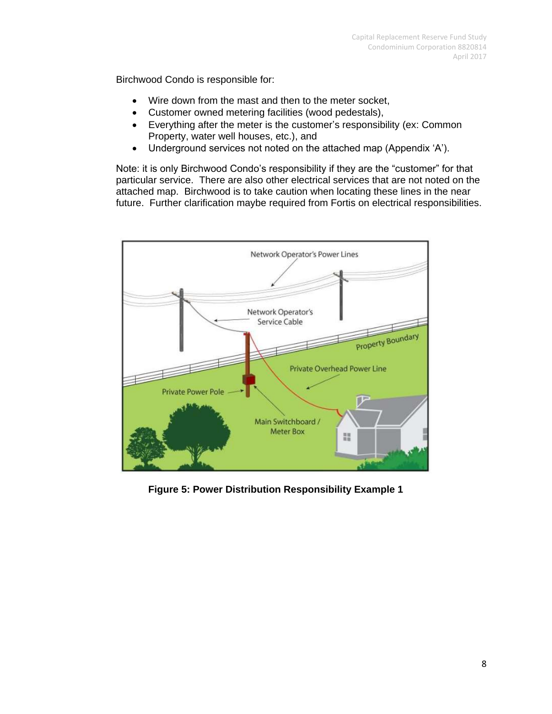Birchwood Condo is responsible for:

- Wire down from the mast and then to the meter socket,
- Customer owned metering facilities (wood pedestals),
- Everything after the meter is the customer's responsibility (ex: Common Property, water well houses, etc.), and
- Underground services not noted on the attached map (Appendix 'A').

Note: it is only Birchwood Condo's responsibility if they are the "customer" for that particular service. There are also other electrical services that are not noted on the attached map. Birchwood is to take caution when locating these lines in the near future. Further clarification maybe required from Fortis on electrical responsibilities.



**Figure 5: Power Distribution Responsibility Example 1**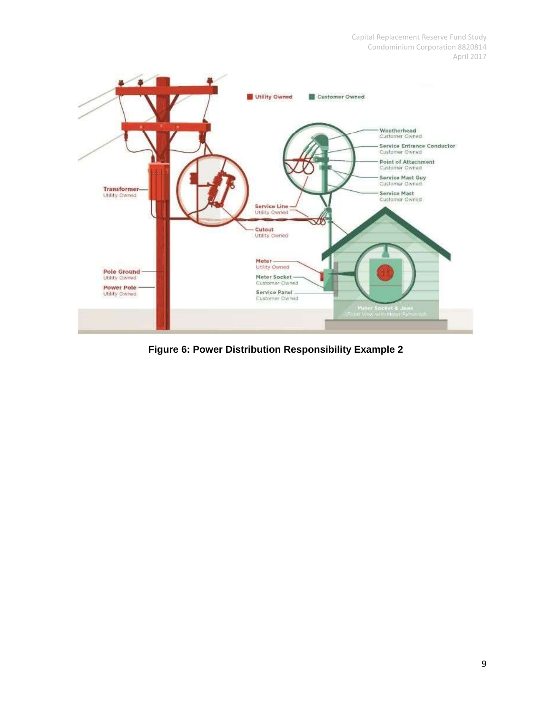

**Figure 6: Power Distribution Responsibility Example 2**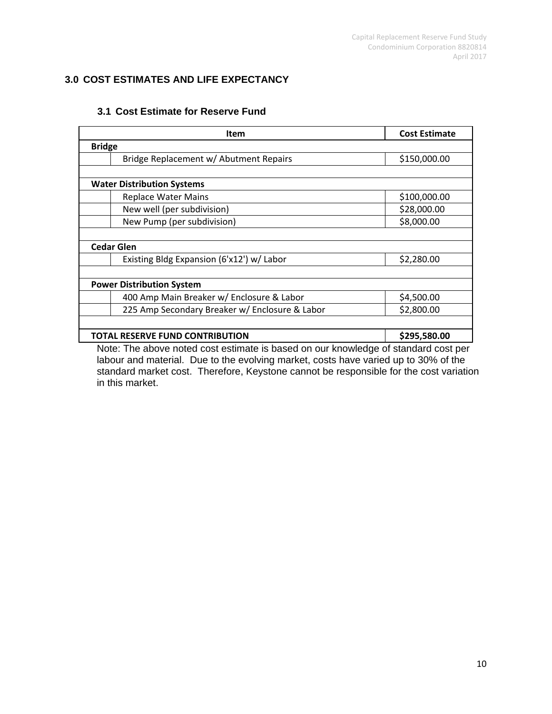# **3.0 COST ESTIMATES AND LIFE EXPECTANCY**

|                                   | Item                                                                               | <b>Cost Estimate</b> |  |  |
|-----------------------------------|------------------------------------------------------------------------------------|----------------------|--|--|
| <b>Bridge</b>                     |                                                                                    |                      |  |  |
|                                   | Bridge Replacement w/ Abutment Repairs                                             | \$150,000.00         |  |  |
|                                   |                                                                                    |                      |  |  |
| <b>Water Distribution Systems</b> |                                                                                    |                      |  |  |
|                                   | <b>Replace Water Mains</b>                                                         | \$100,000.00         |  |  |
|                                   | New well (per subdivision)                                                         | \$28,000.00          |  |  |
|                                   | New Pump (per subdivision)                                                         | \$8,000.00           |  |  |
|                                   |                                                                                    |                      |  |  |
| <b>Cedar Glen</b>                 |                                                                                    |                      |  |  |
|                                   | Existing Bldg Expansion (6'x12') w/ Labor                                          | \$2,280.00           |  |  |
|                                   |                                                                                    |                      |  |  |
| <b>Power Distribution System</b>  |                                                                                    |                      |  |  |
|                                   | 400 Amp Main Breaker w/ Enclosure & Labor                                          | \$4,500.00           |  |  |
|                                   | 225 Amp Secondary Breaker w/ Enclosure & Labor                                     | \$2,800.00           |  |  |
|                                   |                                                                                    |                      |  |  |
|                                   | TOTAL RESERVE FUND CONTRIBUTION                                                    | \$295,580.00         |  |  |
|                                   | Note: The above noted cost estimate is based on our knowledge of standard cost per |                      |  |  |

### **3.1 Cost Estimate for Reserve Fund**

Note: The above noted cost estimate is based on our knowledge of standard cost per labour and material. Due to the evolving market, costs have varied up to 30% of the standard market cost. Therefore, Keystone cannot be responsible for the cost variation in this market.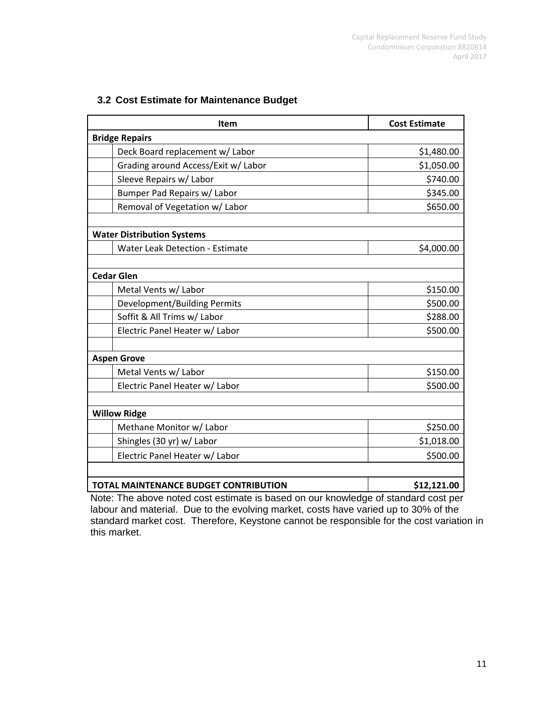| 3.2 Cost Estimate for Maintenance Budget |  |
|------------------------------------------|--|
|------------------------------------------|--|

|                       | <b>Item</b>                                                 | <b>Cost Estimate</b> |  |  |
|-----------------------|-------------------------------------------------------------|----------------------|--|--|
| <b>Bridge Repairs</b> |                                                             |                      |  |  |
|                       | Deck Board replacement w/ Labor                             | \$1,480.00           |  |  |
|                       | Grading around Access/Exit w/ Labor                         | \$1,050.00           |  |  |
|                       | Sleeve Repairs w/ Labor                                     | \$740.00             |  |  |
|                       | Bumper Pad Repairs w/ Labor                                 | \$345.00             |  |  |
|                       | Removal of Vegetation w/ Labor                              | \$650.00             |  |  |
|                       |                                                             |                      |  |  |
|                       | <b>Water Distribution Systems</b>                           |                      |  |  |
|                       | <b>Water Leak Detection - Estimate</b>                      | \$4,000.00           |  |  |
|                       |                                                             |                      |  |  |
|                       | <b>Cedar Glen</b>                                           |                      |  |  |
|                       | Metal Vents w/ Labor                                        | \$150.00             |  |  |
|                       | Development/Building Permits                                | \$500.00             |  |  |
|                       | Soffit & All Trims w/ Labor                                 | \$288.00             |  |  |
|                       | Electric Panel Heater w/ Labor                              | \$500.00             |  |  |
|                       |                                                             |                      |  |  |
|                       | <b>Aspen Grove</b>                                          |                      |  |  |
|                       | Metal Vents w/ Labor                                        | \$150.00             |  |  |
|                       | Electric Panel Heater w/ Labor                              | \$500.00             |  |  |
|                       |                                                             |                      |  |  |
| <b>Willow Ridge</b>   |                                                             |                      |  |  |
|                       | Methane Monitor w/ Labor                                    | \$250.00             |  |  |
|                       | Shingles (30 yr) w/ Labor                                   | \$1,018.00           |  |  |
|                       | Electric Panel Heater w/ Labor                              | \$500.00             |  |  |
|                       |                                                             |                      |  |  |
|                       | <b>TOTAL MAINTENANCE BUDGET CONTRIBUTION</b><br>\$12,121.00 |                      |  |  |

Note: The above noted cost estimate is based on our knowledge of standard cost per labour and material. Due to the evolving market, costs have varied up to 30% of the standard market cost. Therefore, Keystone cannot be responsible for the cost variation in this market.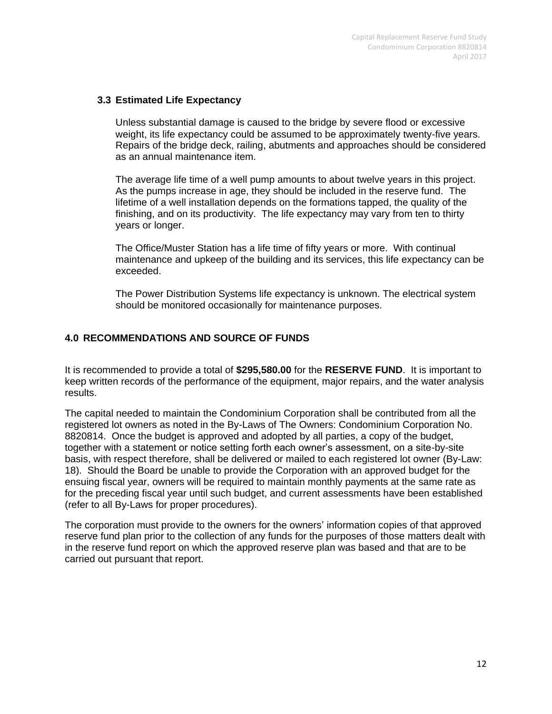#### **3.3 Estimated Life Expectancy**

Unless substantial damage is caused to the bridge by severe flood or excessive weight, its life expectancy could be assumed to be approximately twenty-five years. Repairs of the bridge deck, railing, abutments and approaches should be considered as an annual maintenance item.

The average life time of a well pump amounts to about twelve years in this project. As the pumps increase in age, they should be included in the reserve fund. The lifetime of a well installation depends on the formations tapped, the quality of the finishing, and on its productivity. The life expectancy may vary from ten to thirty years or longer.

The Office/Muster Station has a life time of fifty years or more. With continual maintenance and upkeep of the building and its services, this life expectancy can be exceeded.

The Power Distribution Systems life expectancy is unknown. The electrical system should be monitored occasionally for maintenance purposes.

# **4.0 RECOMMENDATIONS AND SOURCE OF FUNDS**

It is recommended to provide a total of **\$295,580.00** for the **RESERVE FUND**. It is important to keep written records of the performance of the equipment, major repairs, and the water analysis results.

The capital needed to maintain the Condominium Corporation shall be contributed from all the registered lot owners as noted in the By-Laws of The Owners: Condominium Corporation No. 8820814. Once the budget is approved and adopted by all parties, a copy of the budget, together with a statement or notice setting forth each owner's assessment, on a site-by-site basis, with respect therefore, shall be delivered or mailed to each registered lot owner (By-Law: 18). Should the Board be unable to provide the Corporation with an approved budget for the ensuing fiscal year, owners will be required to maintain monthly payments at the same rate as for the preceding fiscal year until such budget, and current assessments have been established (refer to all By-Laws for proper procedures).

The corporation must provide to the owners for the owners' information copies of that approved reserve fund plan prior to the collection of any funds for the purposes of those matters dealt with in the reserve fund report on which the approved reserve plan was based and that are to be carried out pursuant that report.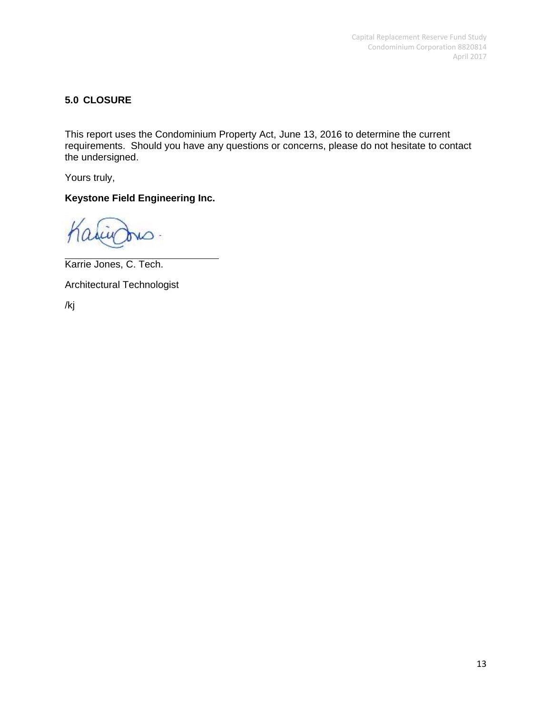## **5.0 CLOSURE**

This report uses the Condominium Property Act, June 13, 2016 to determine the current requirements. Should you have any questions or concerns, please do not hesitate to contact the undersigned.

Yours truly,

**Keystone Field Engineering Inc.**

Karrie Jones, C. Tech.

Architectural Technologist

/kj